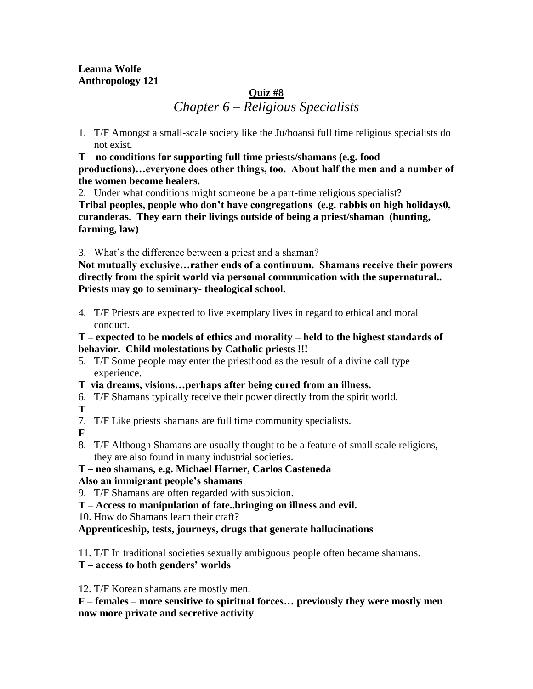# **Leanna Wolfe Anthropology 121**

# **Quiz #8** *Chapter 6 – Religious Specialists*

1. T/F Amongst a small-scale society like the Ju/hoansi full time religious specialists do not exist.

**T – no conditions for supporting full time priests/shamans (e.g. food productions)…everyone does other things, too. About half the men and a number of the women become healers.**

2. Under what conditions might someone be a part-time religious specialist?

**Tribal peoples, people who don't have congregations (e.g. rabbis on high holidays0, curanderas. They earn their livings outside of being a priest/shaman (hunting, farming, law)**

3. What's the difference between a priest and a shaman?

**Not mutually exclusive…rather ends of a continuum. Shamans receive their powers directly from the spirit world via personal communication with the supernatural.. Priests may go to seminary- theological school.**

4. T/F Priests are expected to live exemplary lives in regard to ethical and moral conduct.

**T – expected to be models of ethics and morality – held to the highest standards of behavior. Child molestations by Catholic priests !!!**

- 5. T/F Some people may enter the priesthood as the result of a divine call type experience.
- **T via dreams, visions…perhaps after being cured from an illness.**
- 6. T/F Shamans typically receive their power directly from the spirit world.

**T**

7. T/F Like priests shamans are full time community specialists.

**F**

8. T/F Although Shamans are usually thought to be a feature of small scale religions, they are also found in many industrial societies.

#### **T – neo shamans, e.g. Michael Harner, Carlos Casteneda Also an immigrant people's shamans**

- 9. T/F Shamans are often regarded with suspicion.
- **T – Access to manipulation of fate..bringing on illness and evil.**
- 10. How do Shamans learn their craft?

# **Apprenticeship, tests, journeys, drugs that generate hallucinations**

11. T/F In traditional societies sexually ambiguous people often became shamans.

**T – access to both genders' worlds**

12. T/F Korean shamans are mostly men.

**F – females – more sensitive to spiritual forces… previously they were mostly men now more private and secretive activity**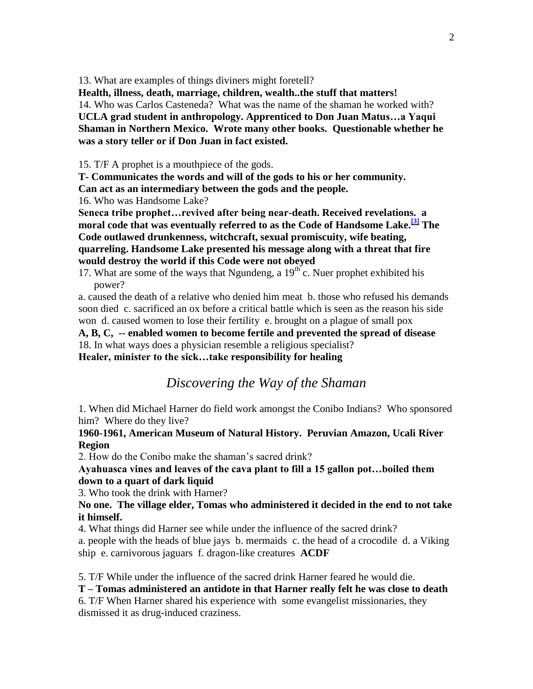13. What are examples of things diviners might foretell?

**Health, illness, death, marriage, children, wealth..the stuff that matters!** 14. Who was Carlos Casteneda? What was the name of the shaman he worked with? **UCLA grad student in anthropology. Apprenticed to Don Juan Matus…a Yaqui Shaman in Northern Mexico. Wrote many other books. Questionable whether he was a story teller or if Don Juan in fact existed.**

15. T/F A prophet is a mouthpiece of the gods.

**T- Communicates the words and will of the gods to his or her community.**

**Can act as an intermediary between the gods and the people.**

16. Who was Handsome Lake?

**Seneca tribe prophet…revived after being near-death. Received revelations. a moral code that was eventually referred to as the Code of Handsome Lake.[\[3\]](http://en.wikipedia.org/wiki/Handsome_Lake#cite_note-3) The Code outlawed drunkenness, [witchcraft,](http://en.wikipedia.org/wiki/Witchcraft) sexual [promiscuity,](http://en.wikipedia.org/wiki/Promiscuity) [wife beating,](http://en.wikipedia.org/wiki/Domestic_violence) quarreling. Handsome Lake presented his message along with a threat that fire would destroy the world if this Code were not obeyed**

17. What are some of the ways that Ngundeng, a  $19<sup>th</sup>$  c. Nuer prophet exhibited his power?

a. caused the death of a relative who denied him meat b. those who refused his demands soon died c. sacrificed an ox before a critical battle which is seen as the reason his side won d. caused women to lose their fertility e. brought on a plague of small pox

**A, B, C, -- enabled women to become fertile and prevented the spread of disease** 18. In what ways does a physician resemble a religious specialist?

**Healer, minister to the sick…take responsibility for healing**

# *Discovering the Way of the Shaman*

1. When did Michael Harner do field work amongst the Conibo Indians? Who sponsored him? Where do they live?

#### **1960-1961, American Museum of Natural History. Peruvian Amazon, Ucali River Region**

2. How do the Conibo make the shaman's sacred drink?

**Ayahuasca vines and leaves of the cava plant to fill a 15 gallon pot…boiled them down to a quart of dark liquid**

3. Who took the drink with Harner?

#### **No one. The village elder, Tomas who administered it decided in the end to not take it himself.**

4. What things did Harner see while under the influence of the sacred drink? a. people with the heads of blue jays b. mermaids c. the head of a crocodile d. a Viking ship e. carnivorous jaguars f. dragon-like creatures **ACDF**

5. T/F While under the influence of the sacred drink Harner feared he would die.

**T – Tomas administered an antidote in that Harner really felt he was close to death**

6. T/F When Harner shared his experience with some evangelist missionaries, they dismissed it as drug-induced craziness.